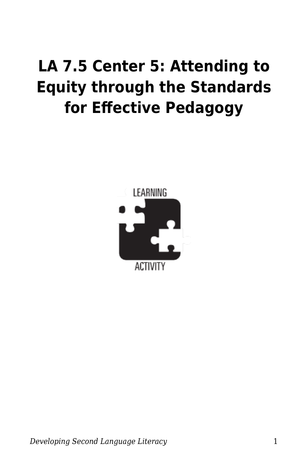## **LA 7.5 Center 5: Attending to Equity through the Standards for Effective Pedagogy**

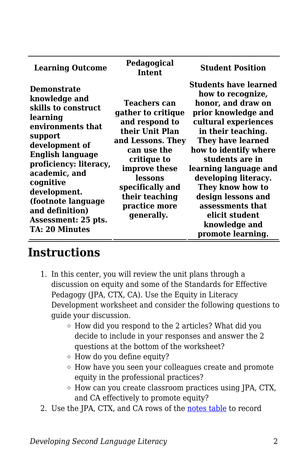| <b>Learning Outcome</b>                                                                                                                                                                                                                                                                                       | Pedagogical<br><b>Intent</b>                                                                                                                                                                                                       | <b>Student Position</b>                                                                                                                                                                                                                                                                                                                                                                     |
|---------------------------------------------------------------------------------------------------------------------------------------------------------------------------------------------------------------------------------------------------------------------------------------------------------------|------------------------------------------------------------------------------------------------------------------------------------------------------------------------------------------------------------------------------------|---------------------------------------------------------------------------------------------------------------------------------------------------------------------------------------------------------------------------------------------------------------------------------------------------------------------------------------------------------------------------------------------|
| <b>Demonstrate</b><br>knowledge and<br>skills to construct<br>learning<br>environments that<br>support<br>development of<br><b>English language</b><br>proficiency: literacy,<br>academic, and<br>cognitive<br>development.<br>(footnote language<br>and definition)<br>Assessment: 25 pts.<br>TA: 20 Minutes | <b>Teachers can</b><br>gather to critique<br>and respond to<br>their Unit Plan<br>and Lessons. They<br>can use the<br>critique to<br>improve these<br>lessons<br>specifically and<br>their teaching<br>practice more<br>generally. | <b>Students have learned</b><br>how to recognize,<br>honor, and draw on<br>prior knowledge and<br>cultural experiences<br>in their teaching.<br><b>They have learned</b><br>how to identify where<br>students are in<br>learning language and<br>developing literacy.<br>They know how to<br>design lessons and<br>assessments that<br>elicit student<br>knowledge and<br>promote learning. |

## **Instructions**

- 1. In this center, you will review the unit plans through a discussion on equity and some of the Standards for Effective Pedagogy (JPA, CTX, CA). Use the Equity in Literacy Development worksheet and consider the following questions to guide your discussion.
	- $\circ$  How did you respond to the 2 articles? What did you decide to include in your responses and answer the 2 questions at the bottom of the worksheet?
	- How do you define equity?
	- How have you seen your colleagues create and promote equity in the professional practices?
	- How can you create classroom practices using JPA, CTX, and CA effectively to promote equity?
- 2. Use the JPA, CTX, and CA rows of the [notes table](https://byu.box.com/s/qwcez3rerw6irhtacydbdz5t72m0uag5) to record